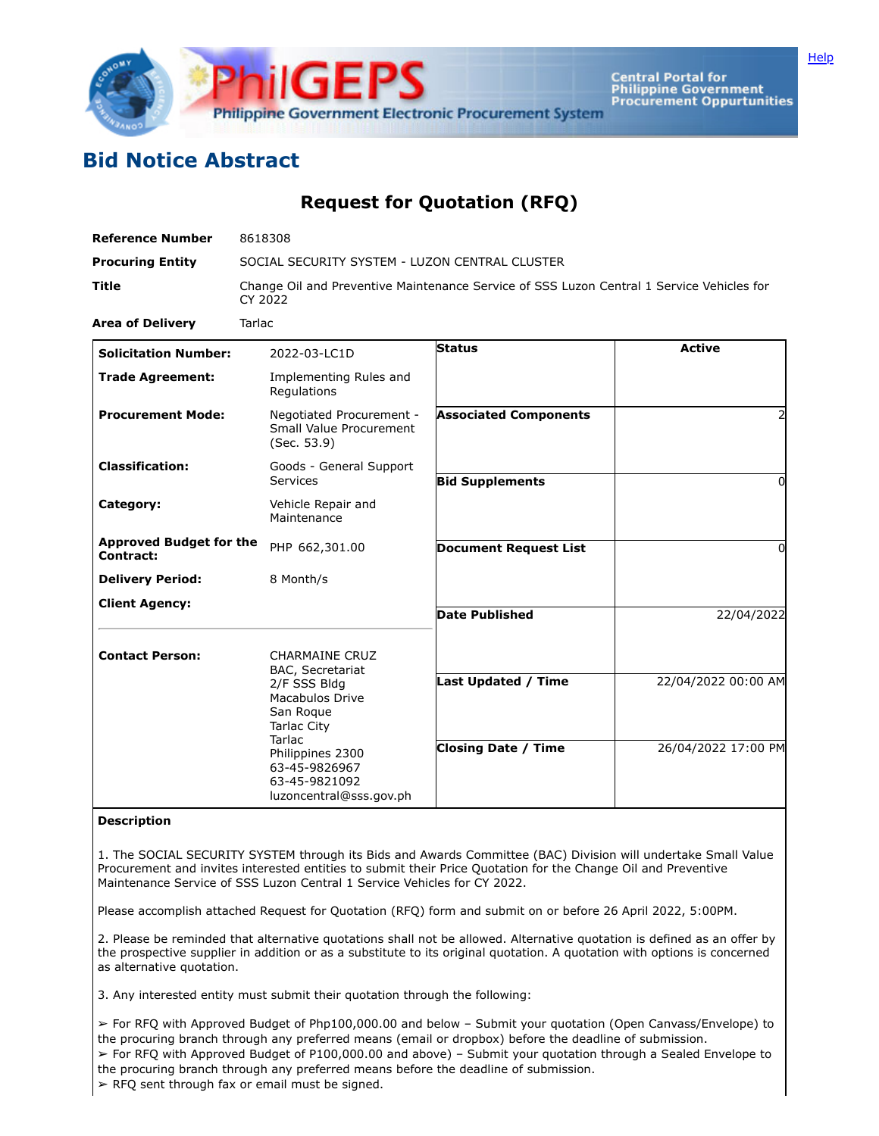

Central Portal for<br>Philippine Government<br>Procurement Oppurtunities

## **Bid Notice Abstract**

## **Request for Quotation (RFQ)**

| <b>Reference Number</b>                     | 8618308                                                                                                                                                                                                    |                              |                     |
|---------------------------------------------|------------------------------------------------------------------------------------------------------------------------------------------------------------------------------------------------------------|------------------------------|---------------------|
| <b>Procuring Entity</b>                     | SOCIAL SECURITY SYSTEM - LUZON CENTRAL CLUSTER                                                                                                                                                             |                              |                     |
| <b>Title</b>                                | Change Oil and Preventive Maintenance Service of SSS Luzon Central 1 Service Vehicles for<br>CY 2022                                                                                                       |                              |                     |
| <b>Area of Delivery</b>                     | Tarlac                                                                                                                                                                                                     |                              |                     |
| <b>Solicitation Number:</b>                 | 2022-03-LC1D                                                                                                                                                                                               | Status                       | <b>Active</b>       |
| <b>Trade Agreement:</b>                     | Implementing Rules and<br>Regulations                                                                                                                                                                      |                              |                     |
| <b>Procurement Mode:</b>                    | Negotiated Procurement -<br>Small Value Procurement<br>(Sec. 53.9)                                                                                                                                         | <b>Associated Components</b> | 2                   |
| <b>Classification:</b>                      | Goods - General Support<br>Services                                                                                                                                                                        | <b>Bid Supplements</b>       | 0                   |
| Category:                                   | Vehicle Repair and<br>Maintenance                                                                                                                                                                          |                              |                     |
| <b>Approved Budget for the</b><br>Contract: | PHP 662,301.00                                                                                                                                                                                             | <b>Document Request List</b> | 0                   |
| <b>Delivery Period:</b>                     | 8 Month/s                                                                                                                                                                                                  |                              |                     |
| <b>Client Agency:</b>                       |                                                                                                                                                                                                            | <b>Date Published</b>        | 22/04/2022          |
| <b>Contact Person:</b>                      | <b>CHARMAINE CRUZ</b><br>BAC, Secretariat<br>2/F SSS Bldg<br><b>Macabulos Drive</b><br>San Roque<br>Tarlac City<br>Tarlac<br>Philippines 2300<br>63-45-9826967<br>63-45-9821092<br>luzoncentral@sss.gov.ph |                              |                     |
|                                             |                                                                                                                                                                                                            | <b>Last Updated / Time</b>   | 22/04/2022 00:00 AM |
|                                             |                                                                                                                                                                                                            | <b>Closing Date / Time</b>   | 26/04/2022 17:00 PM |

## **Description**

1. The SOCIAL SECURITY SYSTEM through its Bids and Awards Committee (BAC) Division will undertake Small Value Procurement and invites interested entities to submit their Price Quotation for the Change Oil and Preventive Maintenance Service of SSS Luzon Central 1 Service Vehicles for CY 2022.

Please accomplish attached Request for Quotation (RFQ) form and submit on or before 26 April 2022, 5:00PM.

2. Please be reminded that alternative quotations shall not be allowed. Alternative quotation is defined as an offer by the prospective supplier in addition or as a substitute to its original quotation. A quotation with options is concerned as alternative quotation.

3. Any interested entity must submit their quotation through the following:

➢ For RFQ with Approved Budget of Php100,000.00 and below – Submit your quotation (Open Canvass/Envelope) to the procuring branch through any preferred means (email or dropbox) before the deadline of submission. ➢ For RFQ with Approved Budget of P100,000.00 and above) – Submit your quotation through a Sealed Envelope to the procuring branch through any preferred means before the deadline of submission.  $\triangleright$  RFQ sent through fax or email must be signed.